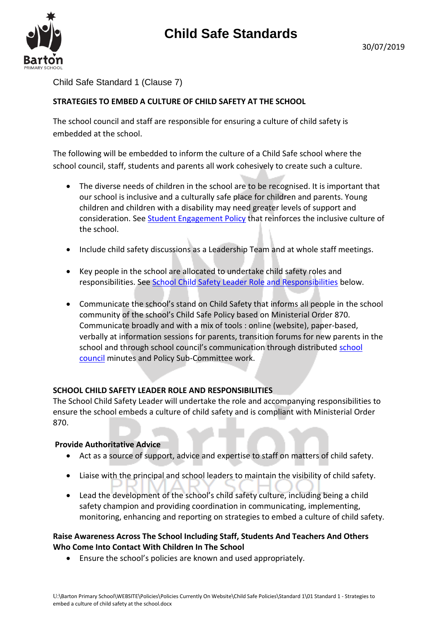

Child Safe Standard 1 (Clause 7)

### **STRATEGIES TO EMBED A CULTURE OF CHILD SAFETY AT THE SCHOOL**

The school council and staff are responsible for ensuring a culture of child safety is embedded at the school.

The following will be embedded to inform the culture of a Child Safe school where the school council, staff, students and parents all work cohesively to create such a culture.

- The diverse needs of children in the school are to be recognised. It is important that our school is inclusive and a culturally safe place for children and parents. Young children and children with a disability may need greater levels of support and consideration. Se[e Student Engagement Policy](file://///5560AFS01/Users/Barton%20Primary%20School/!!%20School%20Review%202019/03%20Child%20Safe%20standards/Standard%201%20(clause%207)/Standard%201%20-%20Student%20Engagement%20policy.docx) that reinforces the inclusive culture of the school.
- Include child safety discussions as a Leadership Team and at whole staff meetings.
- Key people in the school are allocated to undertake child safety roles and responsibilities. See [School Child Safety Leader Role and Responsibilities](file://///5560AFS01/Users/Roles%20&%20Responsibilities/Roles%20&%20Responsibilities%20List%202019.xlsx) below.
- Communicate the school's stand on Child Safety that informs all people in the school community of the school's Child Safe Policy based on Ministerial Order 870. Communicate broadly and with a mix of tools : online (website), paper-based, verbally at information sessions for parents, transition forums for new parents in the school and through school council's communication through distributed [school](file://///5560AFS01/Users/!%20School%20Council/2019)  [council](file://///5560AFS01/Users/!%20School%20Council/2019) minutes and Policy Sub-Committee work.

### **SCHOOL CHILD SAFETY LEADER ROLE AND RESPONSIBILITIES**

The School Child Safety Leader will undertake the role and accompanying responsibilities to ensure the school embeds a culture of child safety and is compliant with Ministerial Order 870.

### **Provide Authoritative Advice**

- Act as a source of support, advice and expertise to staff on matters of child safety.
- Liaise with the principal and school leaders to maintain the visibility of child safety.
- Lead the development of the school's child safety culture, including being a child safety champion and providing coordination in communicating, implementing, monitoring, enhancing and reporting on strategies to embed a culture of child safety.

### **Raise Awareness Across The School Including Staff, Students And Teachers And Others Who Come Into Contact With Children In The School**

Ensure the school's policies are known and used appropriately.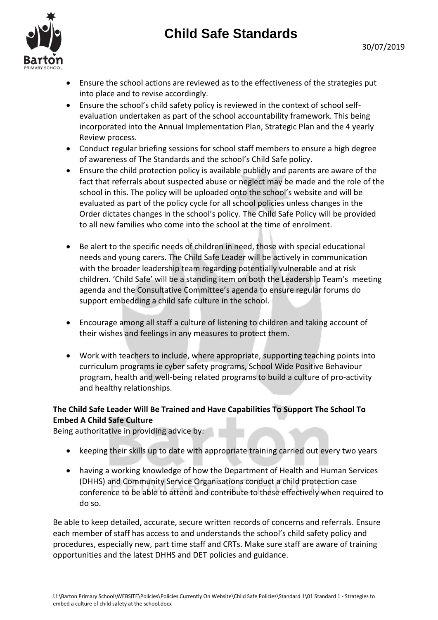# **Child Safe Standards**





- Ensure the school actions are reviewed as to the effectiveness of the strategies put into place and to revise accordingly.
- Ensure the school's child safety policy is reviewed in the context of school selfevaluation undertaken as part of the school accountability framework. This being incorporated into the Annual Implementation Plan, Strategic Plan and the 4 yearly Review process.
- Conduct regular briefing sessions for school staff members to ensure a high degree of awareness of The Standards and the school's Child Safe policy.
- Ensure the child protection policy is available publicly and parents are aware of the fact that referrals about suspected abuse or neglect may be made and the role of the school in this. The policy will be uploaded onto the school's website and will be evaluated as part of the policy cycle for all school policies unless changes in the Order dictates changes in the school's policy. The Child Safe Policy will be provided to all new families who come into the school at the time of enrolment.
- Be alert to the specific needs of children in need, those with special educational needs and young carers. The Child Safe Leader will be actively in communication with the broader leadership team regarding potentially vulnerable and at risk children. 'Child Safe' will be a standing item on both the Leadership Team's meeting agenda and the Consultative Committee's agenda to ensure regular forums do support embedding a child safe culture in the school.
- Encourage among all staff a culture of listening to children and taking account of their wishes and feelings in any measures to protect them.
- Work with teachers to include, where appropriate, supporting teaching points into curriculum programs ie cyber safety programs, School Wide Positive Behaviour program, health and well-being related programs to build a culture of pro-activity and healthy relationships.

## **The Child Safe Leader Will Be Trained and Have Capabilities To Support The School To Embed A Child Safe Culture**

Being authoritative in providing advice by:

- keeping their skills up to date with appropriate training carried out every two years
- having a working knowledge of how the Department of Health and Human Services (DHHS) and Community Service Organisations conduct a child protection case conference to be able to attend and contribute to these effectively when required to do so.

Be able to keep detailed, accurate, secure written records of concerns and referrals. Ensure each member of staff has access to and understands the school's child safety policy and procedures, especially new, part time staff and CRTs. Make sure staff are aware of training opportunities and the latest DHHS and DET policies and guidance.